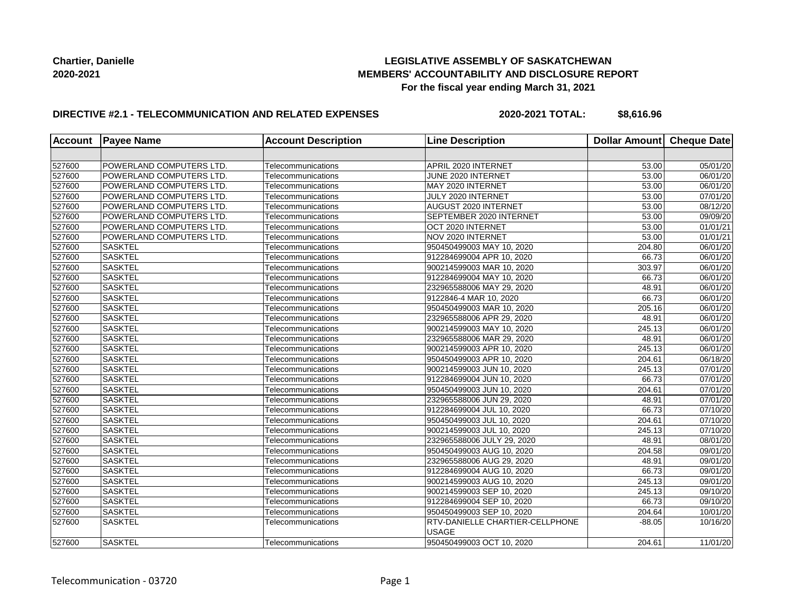# **LEGISLATIVE ASSEMBLY OF SASKATCHEWAN MEMBERS' ACCOUNTABILITY AND DISCLOSURE REPORT For the fiscal year ending March 31, 2021**

### **DIRECTIVE #2.1 - TELECOMMUNICATION AND RELATED EXPENSES**

**2020-2021 TOTAL: \$8,616.96**

| Account | <b>Payee Name</b>        | <b>Account Description</b> | <b>Line Description</b>                  | Dollar Amount Cheque Date |                       |
|---------|--------------------------|----------------------------|------------------------------------------|---------------------------|-----------------------|
|         |                          |                            |                                          |                           |                       |
| 527600  | POWERLAND COMPUTERS LTD. | Telecommunications         | APRIL 2020 INTERNET                      | 53.00                     | 05/01/20              |
| 527600  | POWERLAND COMPUTERS LTD. | Telecommunications         | JUNE 2020 INTERNET                       | 53.00                     | 06/01/20              |
| 527600  | POWERLAND COMPUTERS LTD. | Telecommunications         | MAY 2020 INTERNET                        | 53.00                     | 06/01/20              |
| 527600  | POWERLAND COMPUTERS LTD. | Telecommunications         | JULY 2020 INTERNET                       | 53.00                     | 07/01/20              |
| 527600  | POWERLAND COMPUTERS LTD. | Telecommunications         | AUGUST 2020 INTERNET                     | 53.00                     | 08/12/20              |
| 527600  | POWERLAND COMPUTERS LTD. | Telecommunications         | SEPTEMBER 2020 INTERNET                  | 53.00                     | 09/09/20              |
| 527600  | POWERLAND COMPUTERS LTD. | Telecommunications         | OCT 2020 INTERNET                        | 53.00                     | 01/01/21              |
| 527600  | POWERLAND COMPUTERS LTD. | Telecommunications         | NOV 2020 INTERNET                        | 53.00                     | 01/01/21              |
| 527600  | <b>SASKTEL</b>           | Telecommunications         | 950450499003 MAY 10, 2020                | 204.80                    | 06/01/20              |
| 527600  | <b>SASKTEL</b>           | Telecommunications         | 912284699004 APR 10, 2020                | 66.73                     | 06/01/20              |
| 527600  | <b>SASKTEL</b>           | Telecommunications         | 900214599003 MAR 10, 2020                | 303.97                    | 06/01/20              |
| 527600  | <b>SASKTEL</b>           | Telecommunications         | 912284699004 MAY 10, 2020                | 66.73                     | 06/01/20              |
| 527600  | <b>SASKTEL</b>           | Telecommunications         | 232965588006 MAY 29, 2020                | 48.91                     | 06/01/20              |
| 527600  | <b>SASKTEL</b>           | Telecommunications         | 9122846-4 MAR 10, 2020                   | 66.73                     | 06/01/20              |
| 527600  | <b>SASKTEL</b>           | Telecommunications         | 950450499003 MAR 10, 2020                | 205.16                    | 06/01/20              |
| 527600  | <b>SASKTEL</b>           | Telecommunications         | 232965588006 APR 29, 2020                | 48.91                     | 06/01/20              |
| 527600  | <b>SASKTEL</b>           | Telecommunications         | 900214599003 MAY 10, 2020                | 245.13                    | 06/01/20              |
| 527600  | <b>SASKTEL</b>           | Telecommunications         | 232965588006 MAR 29, 2020                | 48.91                     | 06/01/20              |
| 527600  | <b>SASKTEL</b>           | Telecommunications         | 900214599003 APR 10, 2020                | 245.13                    | 06/01/20              |
| 527600  | <b>SASKTEL</b>           | Telecommunications         | 950450499003 APR 10, 2020                | 204.61                    | 06/18/20              |
| 527600  | <b>SASKTEL</b>           | Telecommunications         | 900214599003 JUN 10, 2020                | 245.13                    | 07/01/20              |
| 527600  | <b>SASKTEL</b>           | Telecommunications         | 912284699004 JUN 10, 2020                | 66.73                     | 07/01/20              |
| 527600  | <b>SASKTEL</b>           | Telecommunications         | 950450499003 JUN 10, 2020                | 204.61                    | $\overline{07}/01/20$ |
| 527600  | <b>SASKTEL</b>           | Telecommunications         | 232965588006 JUN 29, 2020                | 48.91                     | 07/01/20              |
| 527600  | <b>SASKTEL</b>           | Telecommunications         | 912284699004 JUL 10, 2020                | 66.73                     | 07/10/20              |
| 527600  | <b>SASKTEL</b>           | Telecommunications         | 950450499003 JUL 10, 2020                | 204.61                    | 07/10/20              |
| 527600  | <b>SASKTEL</b>           | Telecommunications         | 900214599003 JUL 10, 2020                | 245.13                    | 07/10/20              |
| 527600  | <b>SASKTEL</b>           | Telecommunications         | 232965588006 JULY 29, 2020               | 48.91                     | 08/01/20              |
| 527600  | <b>SASKTEL</b>           | Telecommunications         | 950450499003 AUG 10, 2020                | 204.58                    | 09/01/20              |
| 527600  | <b>SASKTEL</b>           | Telecommunications         | 232965588006 AUG 29, 2020                | 48.91                     | 09/01/20              |
| 527600  | <b>SASKTEL</b>           | Telecommunications         | 912284699004 AUG 10, 2020                | 66.73                     | 09/01/20              |
| 527600  | <b>SASKTEL</b>           | Telecommunications         | 900214599003 AUG 10, 2020                | 245.13                    | 09/01/20              |
| 527600  | <b>SASKTEL</b>           | Telecommunications         | 900214599003 SEP 10, 2020                | 245.13                    | 09/10/20              |
| 527600  | <b>SASKTEL</b>           | Telecommunications         | 912284699004 SEP 10, 2020                | 66.73                     | 09/10/20              |
| 527600  | <b>SASKTEL</b>           | Telecommunications         | 950450499003 SEP 10, 2020                | 204.64                    | 10/01/20              |
| 527600  | <b>SASKTEL</b>           | Telecommunications         | RTV-DANIELLE CHARTIER-CELLPHONE<br>USAGE | $-88.05$                  | 10/16/20              |
| 527600  | <b>SASKTEL</b>           | Telecommunications         | 950450499003 OCT 10, 2020                | 204.61                    | 11/01/20              |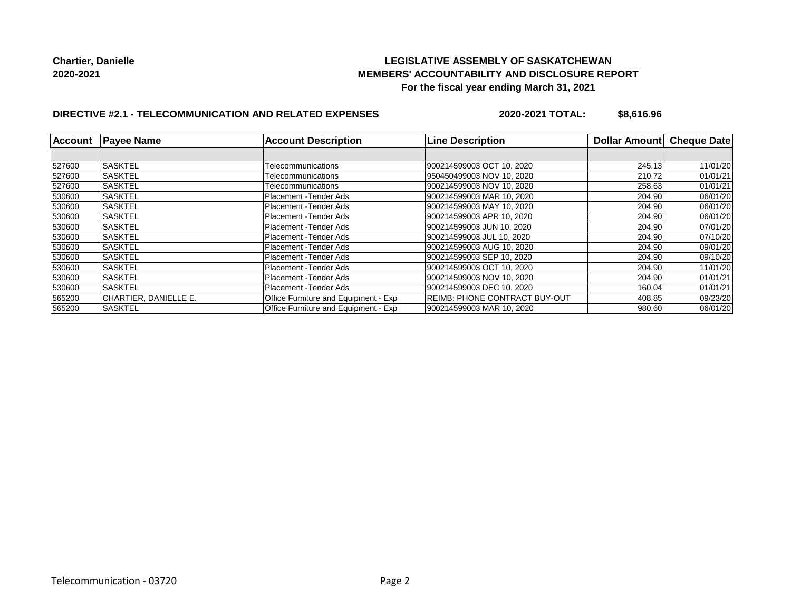# **LEGISLATIVE ASSEMBLY OF SASKATCHEWAN MEMBERS' ACCOUNTABILITY AND DISCLOSURE REPORT For the fiscal year ending March 31, 2021**

# **DIRECTIVE #2.1 - TELECOMMUNICATION AND RELATED EXPENSES**

**2020-2021 TOTAL: \$8,616.96**

| <b>Account</b> | <b>Payee Name</b>     | <b>Account Description</b>           | <b>Line Description</b>              | Dollar Amount | <b>Cheque Date</b> |
|----------------|-----------------------|--------------------------------------|--------------------------------------|---------------|--------------------|
|                |                       |                                      |                                      |               |                    |
| 527600         | <b>SASKTEL</b>        | Telecommunications                   | 900214599003 OCT 10, 2020            | 245.13        | 11/01/20           |
| 527600         | <b>SASKTEL</b>        | Telecommunications                   | 950450499003 NOV 10, 2020            | 210.72        | 01/01/21           |
| 527600         | <b>SASKTEL</b>        | Telecommunications                   | 900214599003 NOV 10, 2020            | 258.63        | 01/01/21           |
| 530600         | <b>SASKTEL</b>        | Placement - Tender Ads               | 900214599003 MAR 10, 2020            | 204.90        | 06/01/20           |
| 530600         | <b>SASKTEL</b>        | Placement - Tender Ads               | 900214599003 MAY 10, 2020            | 204.90        | 06/01/20           |
| 530600         | <b>SASKTEL</b>        | Placement - Tender Ads               | 900214599003 APR 10, 2020            | 204.90        | 06/01/20           |
| 530600         | <b>SASKTEL</b>        | Placement - Tender Ads               | 900214599003 JUN 10, 2020            | 204.90        | 07/01/20           |
| 530600         | <b>SASKTEL</b>        | Placement - Tender Ads               | 900214599003 JUL 10, 2020            | 204.90        | 07/10/20           |
| 530600         | ISASKTEL              | Placement - Tender Ads               | 900214599003 AUG 10, 2020            | 204.90        | 09/01/20           |
| 530600         | <b>SASKTEL</b>        | Placement - Tender Ads               | 900214599003 SEP 10, 2020            | 204.90        | 09/10/20           |
| 530600         | <b>SASKTEL</b>        | Placement - Tender Ads               | 900214599003 OCT 10, 2020            | 204.90        | 11/01/20           |
| 530600         | <b>SASKTEL</b>        | Placement - Tender Ads               | 900214599003 NOV 10, 2020            | 204.90        | 01/01/21           |
| 530600         | <b>SASKTEL</b>        | Placement - Tender Ads               | 900214599003 DEC 10, 2020            | 160.04        | 01/01/21           |
| 565200         | CHARTIER, DANIELLE E. | Office Furniture and Equipment - Exp | <b>REIMB: PHONE CONTRACT BUY-OUT</b> | 408.85        | 09/23/20           |
| 565200         | <b>SASKTEL</b>        | Office Furniture and Equipment - Exp | 900214599003 MAR 10, 2020            | 980.60        | 06/01/20           |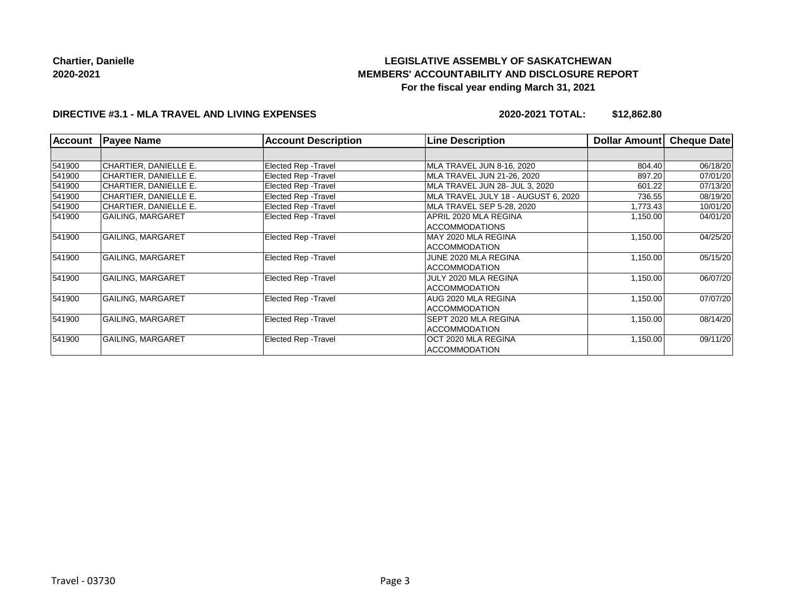# **LEGISLATIVE ASSEMBLY OF SASKATCHEWAN MEMBERS' ACCOUNTABILITY AND DISCLOSURE REPORT For the fiscal year ending March 31, 2021**

# **DIRECTIVE #3.1 - MLA TRAVEL AND LIVING EXPENSES**

**2020-2021 TOTAL: \$12,862.80**

| <b>Account</b> | <b>Payee Name</b>        | <b>Account Description</b>  | <b>Line Description</b>             | Dollar Amount | <b>Cheque Date</b> |
|----------------|--------------------------|-----------------------------|-------------------------------------|---------------|--------------------|
|                |                          |                             |                                     |               |                    |
| 541900         | CHARTIER, DANIELLE E.    | <b>Elected Rep - Travel</b> | MLA TRAVEL JUN 8-16, 2020           | 804.40        | 06/18/20           |
| 541900         | CHARTIER, DANIELLE E.    | <b>Elected Rep - Travel</b> | MLA TRAVEL JUN 21-26, 2020          | 897.20        | 07/01/20           |
| 541900         | CHARTIER, DANIELLE E.    | <b>Elected Rep - Travel</b> | MLA TRAVEL JUN 28- JUL 3, 2020      | 601.22        | 07/13/20           |
| 541900         | CHARTIER, DANIELLE E.    | <b>Elected Rep - Travel</b> | MLA TRAVEL JULY 18 - AUGUST 6, 2020 | 736.55        | 08/19/20           |
| 541900         | CHARTIER, DANIELLE E.    | <b>Elected Rep - Travel</b> | MLA TRAVEL SEP 5-28, 2020           | 1,773.43      | 10/01/20           |
| 541900         | <b>GAILING, MARGARET</b> | <b>Elected Rep - Travel</b> | APRIL 2020 MLA REGINA               | 1,150.00      | 04/01/20           |
|                |                          |                             | <b>ACCOMMODATIONS</b>               |               |                    |
| 541900         | <b>GAILING, MARGARET</b> | <b>Elected Rep - Travel</b> | MAY 2020 MLA REGINA                 | 1,150.00      | 04/25/20           |
|                |                          |                             | <b>ACCOMMODATION</b>                |               |                    |
| 541900         | <b>GAILING, MARGARET</b> | Elected Rep - Travel        | JUNE 2020 MLA REGINA                | 1,150.00      | 05/15/20           |
|                |                          |                             | ACCOMMODATION                       |               |                    |
| 541900         | <b>GAILING, MARGARET</b> | Elected Rep - Travel        | JULY 2020 MLA REGINA                | 1,150.00      | 06/07/20           |
|                |                          |                             | ACCOMMODATION                       |               |                    |
| 541900         | <b>GAILING, MARGARET</b> | <b>Elected Rep - Travel</b> | AUG 2020 MLA REGINA                 | 1,150.00      | 07/07/20           |
|                |                          |                             | <b>ACCOMMODATION</b>                |               |                    |
| 541900         | <b>GAILING, MARGARET</b> | <b>Elected Rep - Travel</b> | <b>SEPT 2020 MLA REGINA</b>         | 1,150.00      | 08/14/20           |
|                |                          |                             | <b>ACCOMMODATION</b>                |               |                    |
| 541900         | <b>GAILING, MARGARET</b> | Elected Rep - Travel        | OCT 2020 MLA REGINA                 | 1,150.00      | 09/11/20           |
|                |                          |                             | ACCOMMODATION                       |               |                    |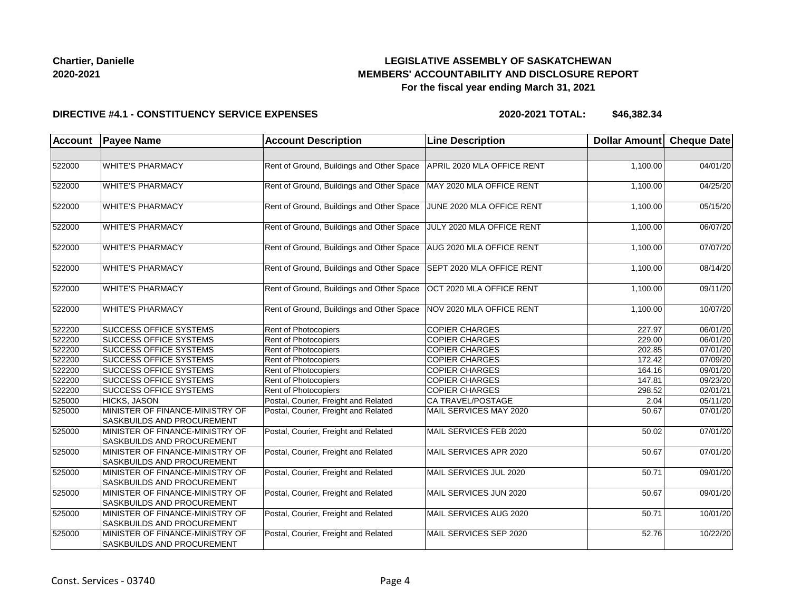# **LEGISLATIVE ASSEMBLY OF SASKATCHEWAN MEMBERS' ACCOUNTABILITY AND DISCLOSURE REPORT For the fiscal year ending March 31, 2021**

#### **DIRECTIVE #4.1 - CONSTITUENCY SERVICE EXPENSES**

**2020-2021 TOTAL: \$46,382.34**

| <b>Account</b> | <b>Payee Name</b>                                                    | <b>Account Description</b>                | <b>Line Description</b>    | Dollar Amount Cheque Date |          |
|----------------|----------------------------------------------------------------------|-------------------------------------------|----------------------------|---------------------------|----------|
|                |                                                                      |                                           |                            |                           |          |
| 522000         | <b>WHITE'S PHARMACY</b>                                              | Rent of Ground, Buildings and Other Space | APRIL 2020 MLA OFFICE RENT | 1,100.00                  | 04/01/20 |
| 522000         | <b>WHITE'S PHARMACY</b>                                              | Rent of Ground, Buildings and Other Space | MAY 2020 MLA OFFICE RENT   | 1,100.00                  | 04/25/20 |
| 522000         | <b>WHITE'S PHARMACY</b>                                              | Rent of Ground, Buildings and Other Space | JUNE 2020 MLA OFFICE RENT  | 1,100.00                  | 05/15/20 |
| 522000         | <b>WHITE'S PHARMACY</b>                                              | Rent of Ground, Buildings and Other Space | JULY 2020 MLA OFFICE RENT  | 1,100.00                  | 06/07/20 |
| 522000         | <b>WHITE'S PHARMACY</b>                                              | Rent of Ground, Buildings and Other Space | AUG 2020 MLA OFFICE RENT   | 1,100.00                  | 07/07/20 |
| 522000         | <b>WHITE'S PHARMACY</b>                                              | Rent of Ground, Buildings and Other Space | SEPT 2020 MLA OFFICE RENT  | 1,100.00                  | 08/14/20 |
| 522000         | <b>WHITE'S PHARMACY</b>                                              | Rent of Ground, Buildings and Other Space | OCT 2020 MLA OFFICE RENT   | 1,100.00                  | 09/11/20 |
| 522000         | <b>WHITE'S PHARMACY</b>                                              | Rent of Ground, Buildings and Other Space | NOV 2020 MLA OFFICE RENT   | 1,100.00                  | 10/07/20 |
| 522200         | <b>SUCCESS OFFICE SYSTEMS</b>                                        | Rent of Photocopiers                      | <b>COPIER CHARGES</b>      | 227.97                    | 06/01/20 |
| 522200         | SUCCESS OFFICE SYSTEMS                                               | Rent of Photocopiers                      | <b>COPIER CHARGES</b>      | 229.00                    | 06/01/20 |
| 522200         | <b>SUCCESS OFFICE SYSTEMS</b>                                        | Rent of Photocopiers                      | <b>COPIER CHARGES</b>      | 202.85                    | 07/01/20 |
| 522200         | <b>SUCCESS OFFICE SYSTEMS</b>                                        | Rent of Photocopiers                      | <b>COPIER CHARGES</b>      | 172.42                    | 07/09/20 |
| 522200         | <b>SUCCESS OFFICE SYSTEMS</b>                                        | Rent of Photocopiers                      | <b>COPIER CHARGES</b>      | 164.16                    | 09/01/20 |
| 522200         | <b>SUCCESS OFFICE SYSTEMS</b>                                        | Rent of Photocopiers                      | <b>COPIER CHARGES</b>      | 147.81                    | 09/23/20 |
| 522200         | <b>SUCCESS OFFICE SYSTEMS</b>                                        | Rent of Photocopiers                      | <b>COPIER CHARGES</b>      | 298.52                    | 02/01/21 |
| 525000         | <b>HICKS, JASON</b>                                                  | Postal, Courier, Freight and Related      | CA TRAVEL/POSTAGE          | 2.04                      | 05/11/20 |
| 525000         | MINISTER OF FINANCE-MINISTRY OF<br>SASKBUILDS AND PROCUREMENT        | Postal, Courier, Freight and Related      | MAIL SERVICES MAY 2020     | 50.67                     | 07/01/20 |
| 525000         | MINISTER OF FINANCE-MINISTRY OF<br><b>SASKBUILDS AND PROCUREMENT</b> | Postal, Courier, Freight and Related      | MAIL SERVICES FEB 2020     | 50.02                     | 07/01/20 |
| 525000         | MINISTER OF FINANCE-MINISTRY OF<br><b>SASKBUILDS AND PROCUREMENT</b> | Postal, Courier, Freight and Related      | MAIL SERVICES APR 2020     | 50.67                     | 07/01/20 |
| 525000         | MINISTER OF FINANCE-MINISTRY OF<br>SASKBUILDS AND PROCUREMENT        | Postal, Courier, Freight and Related      | MAIL SERVICES JUL 2020     | 50.71                     | 09/01/20 |
| 525000         | MINISTER OF FINANCE-MINISTRY OF<br><b>SASKBUILDS AND PROCUREMENT</b> | Postal, Courier, Freight and Related      | MAIL SERVICES JUN 2020     | 50.67                     | 09/01/20 |
| 525000         | MINISTER OF FINANCE-MINISTRY OF<br><b>SASKBUILDS AND PROCUREMENT</b> | Postal, Courier, Freight and Related      | MAIL SERVICES AUG 2020     | 50.71                     | 10/01/20 |
| 525000         | MINISTER OF FINANCE-MINISTRY OF<br>SASKBUILDS AND PROCUREMENT        | Postal, Courier, Freight and Related      | MAIL SERVICES SEP 2020     | 52.76                     | 10/22/20 |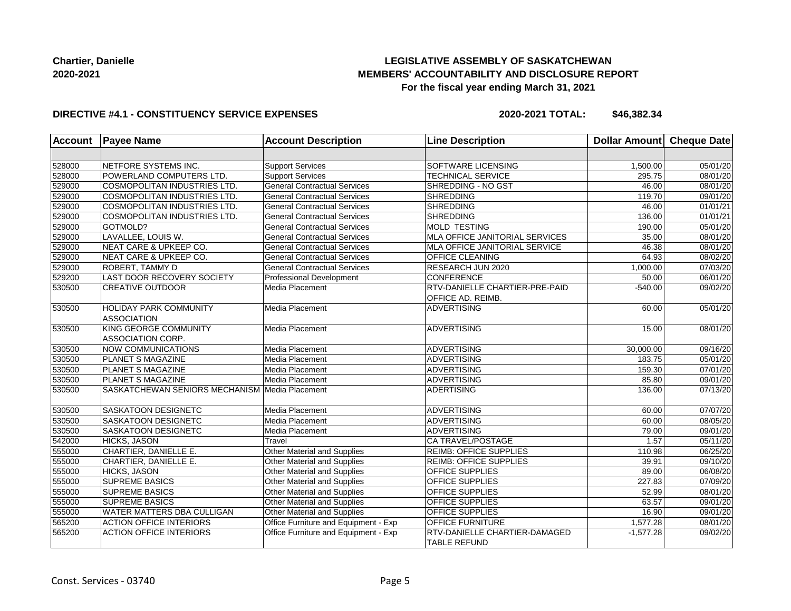# **LEGISLATIVE ASSEMBLY OF SASKATCHEWAN MEMBERS' ACCOUNTABILITY AND DISCLOSURE REPORT For the fiscal year ending March 31, 2021**

#### **DIRECTIVE #4.1 - CONSTITUENCY SERVICE EXPENSES**

**2020-2021 TOTAL: \$46,382.34**

| <b>Account</b> | <b>Payee Name</b>                                        | <b>Account Description</b>           | <b>Line Description</b>                              | <b>Dollar Amount</b> | <b>Cheque Date</b>    |
|----------------|----------------------------------------------------------|--------------------------------------|------------------------------------------------------|----------------------|-----------------------|
|                |                                                          |                                      |                                                      |                      |                       |
| 528000         | NETFORE SYSTEMS INC.                                     | <b>Support Services</b>              | SOFTWARE LICENSING                                   | 1,500.00             | 05/01/20              |
| 528000         | POWERLAND COMPUTERS LTD.                                 | <b>Support Services</b>              | <b>TECHNICAL SERVICE</b>                             | 295.75               | 08/01/20              |
| 529000         | COSMOPOLITAN INDUSTRIES LTD.                             | <b>General Contractual Services</b>  | SHREDDING - NO GST                                   | 46.00                | 08/01/20              |
| 529000         | COSMOPOLITAN INDUSTRIES LTD.                             | <b>General Contractual Services</b>  | <b>SHREDDING</b>                                     | 119.70               | 09/01/20              |
| 529000         | COSMOPOLITAN INDUSTRIES LTD.                             | <b>General Contractual Services</b>  | <b>SHREDDING</b>                                     | 46.00                | 01/01/21              |
| 529000         | COSMOPOLITAN INDUSTRIES LTD.                             | <b>General Contractual Services</b>  | <b>SHREDDING</b>                                     | 136.00               | 01/01/21              |
| 529000         | GOTMOLD?                                                 | <b>General Contractual Services</b>  | MOLD TESTING                                         | 190.00               | 05/01/20              |
| 529000         | LAVALLEE, LOUIS W.                                       | <b>General Contractual Services</b>  | MLA OFFICE JANITORIAL SERVICES                       | 35.00                | 08/01/20              |
| 529000         | NEAT CARE & UPKEEP CO.                                   | <b>General Contractual Services</b>  | MLA OFFICE JANITORIAL SERVICE                        | 46.38                | 08/01/20              |
| 529000         | NEAT CARE & UPKEEP CO.                                   | <b>General Contractual Services</b>  | <b>OFFICE CLEANING</b>                               | 64.93                | 08/02/20              |
| 529000         | <b>ROBERT, TAMMY D</b>                                   | <b>General Contractual Services</b>  | RESEARCH JUN 2020                                    | 1,000.00             | 07/03/20              |
| 529200         | LAST DOOR RECOVERY SOCIETY                               | Professional Development             | <b>CONFERENCE</b>                                    | 50.00                | 06/01/20              |
| 530500         | <b>CREATIVE OUTDOOR</b>                                  | Media Placement                      | RTV-DANIELLE CHARTIER-PRE-PAID<br>OFFICE AD. REIMB.  | $-540.00$            | 09/02/20              |
| 530500         | <b>HOLIDAY PARK COMMUNITY</b><br><b>ASSOCIATION</b>      | Media Placement                      | <b>ADVERTISING</b>                                   | 60.00                | 05/01/20              |
| 530500         | <b>KING GEORGE COMMUNITY</b><br><b>ASSOCIATION CORP.</b> | Media Placement                      | <b>ADVERTISING</b>                                   | 15.00                | 08/01/20              |
| 530500         | <b>NOW COMMUNICATIONS</b>                                | Media Placement                      | <b>ADVERTISING</b>                                   | 30,000.00            | $\overline{09/16/20}$ |
| 530500         | <b>PLANET S MAGAZINE</b>                                 | Media Placement                      | <b>ADVERTISING</b>                                   | 183.75               | 05/01/20              |
| 530500         | <b>PLANET S MAGAZINE</b>                                 | Media Placement                      | <b>ADVERTISING</b>                                   | 159.30               | 07/01/20              |
| 530500         | <b>PLANET S MAGAZINE</b>                                 | Media Placement                      | ADVERTISING                                          | 85.80                | 09/01/20              |
| 530500         | SASKATCHEWAN SENIORS MECHANISM Media Placement           |                                      | ADERTISING                                           | 136.00               | 07/13/20              |
| 530500         | SASKATOON DESIGNETC                                      | Media Placement                      | <b>ADVERTISING</b>                                   | 60.00                | 07/07/20              |
| 530500         | <b>SASKATOON DESIGNETC</b>                               | Media Placement                      | <b>ADVERTISING</b>                                   | 60.00                | 08/05/20              |
| 530500         | <b>SASKATOON DESIGNETC</b>                               | Media Placement                      | <b>ADVERTISING</b>                                   | 79.00                | 09/01/20              |
| 542000         | <b>HICKS, JASON</b>                                      | Travel                               | CA TRAVEL/POSTAGE                                    | 1.57                 | 05/11/20              |
| 555000         | CHARTIER, DANIELLE E.                                    | <b>Other Material and Supplies</b>   | <b>REIMB: OFFICE SUPPLIES</b>                        | 110.98               | 06/25/20              |
| 555000         | CHARTIER, DANIELLE E.                                    | Other Material and Supplies          | <b>REIMB: OFFICE SUPPLIES</b>                        | 39.91                | 09/10/20              |
| 555000         | <b>HICKS, JASON</b>                                      | <b>Other Material and Supplies</b>   | <b>OFFICE SUPPLIES</b>                               | 89.00                | 06/08/20              |
| 555000         | <b>SUPREME BASICS</b>                                    | Other Material and Supplies          | OFFICE SUPPLIES                                      | 227.83               | 07/09/20              |
| 555000         | <b>SUPREME BASICS</b>                                    | Other Material and Supplies          | <b>OFFICE SUPPLIES</b>                               | 52.99                | 08/01/20              |
| 555000         | <b>SUPREME BASICS</b>                                    | Other Material and Supplies          | <b>OFFICE SUPPLIES</b>                               | 63.57                | 09/01/20              |
| 555000         | <b>WATER MATTERS DBA CULLIGAN</b>                        | Other Material and Supplies          | OFFICE SUPPLIES                                      | 16.90                | 09/01/20              |
| 565200         | <b>ACTION OFFICE INTERIORS</b>                           | Office Furniture and Equipment - Exp | OFFICE FURNITURE                                     | 1,577.28             | 08/01/20              |
| 565200         | <b>ACTION OFFICE INTERIORS</b>                           | Office Furniture and Equipment - Exp | RTV-DANIELLE CHARTIER-DAMAGED<br><b>TABLE REFUND</b> | $-1,577.28$          | 09/02/20              |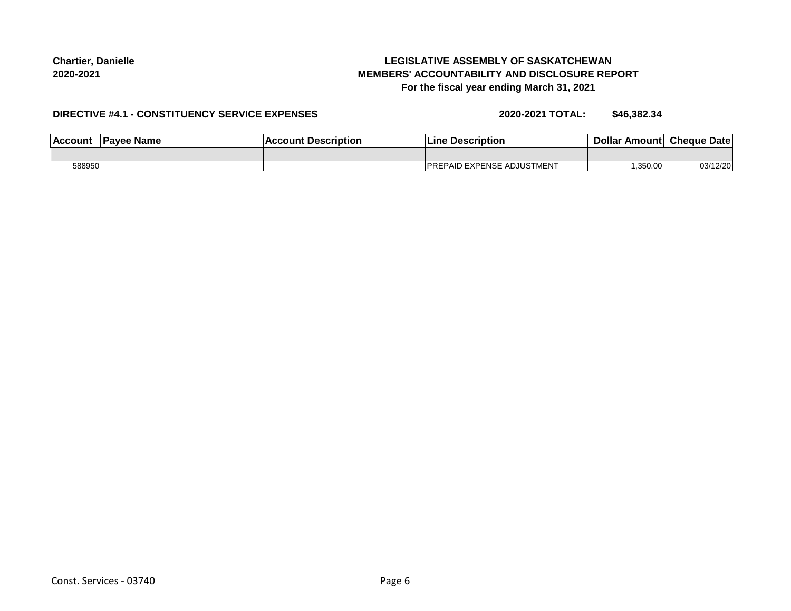# **LEGISLATIVE ASSEMBLY OF SASKATCHEWAN MEMBERS' ACCOUNTABILITY AND DISCLOSURE REPORT For the fiscal year ending March 31, 2021**

#### **DIRECTIVE #4.1 - CONSTITUENCY SERVICE EXPENSES**

**2020-2021 TOTAL: \$46,382.34**

| l Account | <b>Pavee Name</b> | <b>Account Description</b> | <b>Description</b><br>Lıne        | <b>Dollar</b> | Amount Cheque Date |
|-----------|-------------------|----------------------------|-----------------------------------|---------------|--------------------|
|           |                   |                            |                                   |               |                    |
| 588950    |                   |                            | <b>PREPAID EXPENSE ADJUSTMENT</b> | ,350.00       | 03/12/20           |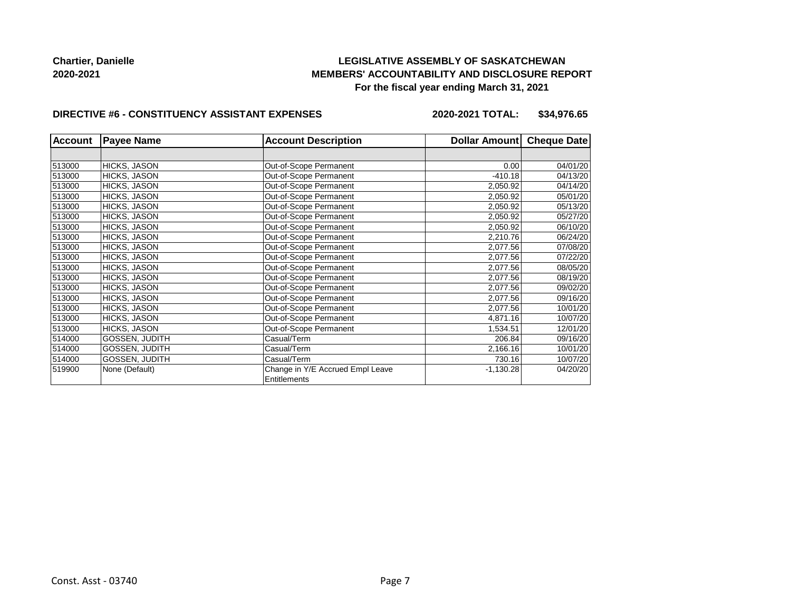# **LEGISLATIVE ASSEMBLY OF SASKATCHEWAN MEMBERS' ACCOUNTABILITY AND DISCLOSURE REPORT For the fiscal year ending March 31, 2021**

#### **DIRECTIVE #6 - CONSTITUENCY ASSISTANT EXPENSES**

**2020-2021 TOTAL: \$34,976.65**

| <b>Account</b> | <b>Payee Name</b>     | <b>Account Description</b>                       | Dollar Amount | <b>Cheque Date</b> |
|----------------|-----------------------|--------------------------------------------------|---------------|--------------------|
|                |                       |                                                  |               |                    |
| 513000         | HICKS, JASON          | Out-of-Scope Permanent                           | 0.00          | 04/01/20           |
| 513000         | HICKS, JASON          | Out-of-Scope Permanent                           | $-410.18$     | 04/13/20           |
| 513000         | <b>HICKS, JASON</b>   | Out-of-Scope Permanent                           | 2,050.92      | 04/14/20           |
| 513000         | <b>HICKS, JASON</b>   | Out-of-Scope Permanent                           | 2,050.92      | 05/01/20           |
| 513000         | <b>HICKS, JASON</b>   | Out-of-Scope Permanent                           | 2,050.92      | 05/13/20           |
| 513000         | <b>HICKS, JASON</b>   | Out-of-Scope Permanent                           | 2,050.92      | 05/27/20           |
| 513000         | <b>HICKS, JASON</b>   | Out-of-Scope Permanent                           | 2,050.92      | 06/10/20           |
| 513000         | HICKS, JASON          | Out-of-Scope Permanent                           | 2,210.76      | 06/24/20           |
| 513000         | <b>HICKS, JASON</b>   | Out-of-Scope Permanent                           | 2,077.56      | 07/08/20           |
| 513000         | HICKS, JASON          | Out-of-Scope Permanent                           | 2,077.56      | 07/22/20           |
| 513000         | <b>HICKS, JASON</b>   | Out-of-Scope Permanent                           | 2,077.56      | 08/05/20           |
| 513000         | HICKS, JASON          | Out-of-Scope Permanent                           | 2,077.56      | 08/19/20           |
| 513000         | <b>HICKS, JASON</b>   | Out-of-Scope Permanent                           | 2,077.56      | 09/02/20           |
| 513000         | HICKS, JASON          | Out-of-Scope Permanent                           | 2,077.56      | 09/16/20           |
| 513000         | <b>HICKS, JASON</b>   | Out-of-Scope Permanent                           | 2,077.56      | 10/01/20           |
| 513000         | HICKS, JASON          | Out-of-Scope Permanent                           | 4,871.16      | 10/07/20           |
| 513000         | HICKS, JASON          | Out-of-Scope Permanent                           | 1,534.51      | 12/01/20           |
| 514000         | GOSSEN, JUDITH        | Casual/Term                                      | 206.84        | 09/16/20           |
| 514000         | GOSSEN, JUDITH        | Casual/Term                                      | 2,166.16      | 10/01/20           |
| 514000         | <b>GOSSEN, JUDITH</b> | Casual/Term                                      | 730.16        | 10/07/20           |
| 519900         | None (Default)        | Change in Y/E Accrued Empl Leave<br>Entitlements | $-1,130.28$   | 04/20/20           |